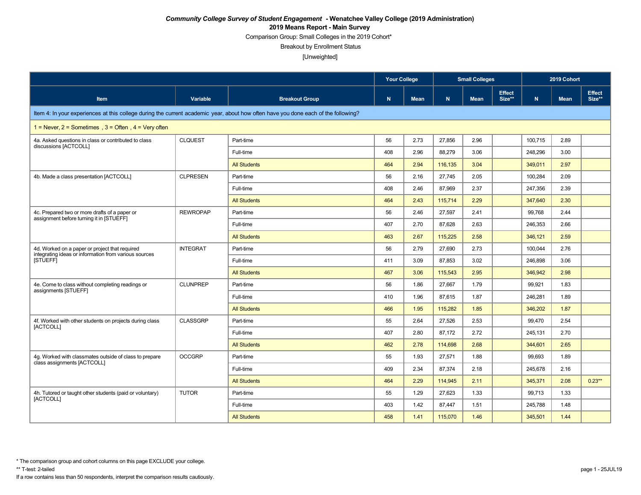Comparison Group: Small Colleges in the 2019 Cohort\*

Breakout by Enrollment Status

[Unweighted]

|                                                                                                                                    |                 |                       | <b>Your College</b> |             |         | <b>Small Colleges</b><br><b>Effect</b> |        |             | 2019 Cohort |                         |
|------------------------------------------------------------------------------------------------------------------------------------|-----------------|-----------------------|---------------------|-------------|---------|----------------------------------------|--------|-------------|-------------|-------------------------|
| Item                                                                                                                               | Variable        | <b>Breakout Group</b> | N                   | <b>Mean</b> | N.      | <b>Mean</b>                            | Size** | $\mathbf N$ | <b>Mean</b> | <b>Effect</b><br>Size** |
| Item 4: In your experiences at this college during the current academic year, about how often have you done each of the following? |                 |                       |                     |             |         |                                        |        |             |             |                         |
| 1 = Never, $2$ = Sometimes, $3$ = Often, $4$ = Very often                                                                          |                 |                       |                     |             |         |                                        |        |             |             |                         |
| 4a. Asked questions in class or contributed to class<br>discussions [ACTCOLL]                                                      | <b>CLQUEST</b>  | Part-time             | 56                  | 2.73        | 27,856  | 2.96                                   |        | 100,715     | 2.89        |                         |
|                                                                                                                                    |                 | Full-time             | 408                 | 2.96        | 88,279  | 3.06                                   |        | 248,296     | 3.00        |                         |
|                                                                                                                                    |                 | <b>All Students</b>   | 464                 | 2.94        | 116.135 | 3.04                                   |        | 349,011     | 2.97        |                         |
| 4b. Made a class presentation [ACTCOLL]                                                                                            | <b>CLPRESEN</b> | Part-time             | 56                  | 2.16        | 27,745  | 2.05                                   |        | 100,284     | 2.09        |                         |
|                                                                                                                                    |                 | Full-time             | 408                 | 2.46        | 87.969  | 2.37                                   |        | 247,356     | 2.39        |                         |
|                                                                                                                                    |                 | <b>All Students</b>   | 464                 | 2.43        | 115,714 | 2.29                                   |        | 347,640     | 2.30        |                         |
| 4c. Prepared two or more drafts of a paper or<br>assignment before turning it in [STUEFF]                                          | <b>REWROPAP</b> | Part-time             | 56                  | 2.46        | 27,597  | 2.41                                   |        | 99,768      | 2.44        |                         |
|                                                                                                                                    |                 | Full-time             | 407                 | 2.70        | 87.628  | 2.63                                   |        | 246,353     | 2.66        |                         |
|                                                                                                                                    |                 | <b>All Students</b>   | 463                 | 2.67        | 115,225 | 2.58                                   |        | 346,121     | 2.59        |                         |
| 4d. Worked on a paper or project that required<br>integrating ideas or information from various sources                            | <b>INTEGRAT</b> | Part-time             | 56                  | 2.79        | 27.690  | 2.73                                   |        | 100,044     | 2.76        |                         |
| [STUEFF]                                                                                                                           |                 | Full-time             | 411                 | 3.09        | 87,853  | 3.02                                   |        | 246,898     | 3.06        |                         |
|                                                                                                                                    |                 | <b>All Students</b>   | 467                 | 3.06        | 115.543 | 2.95                                   |        | 346.942     | 2.98        |                         |
| 4e. Come to class without completing readings or<br>assignments [STUEFF]                                                           | <b>CLUNPREP</b> | Part-time             | 56                  | 1.86        | 27.667  | 1.79                                   |        | 99,921      | 1.83        |                         |
|                                                                                                                                    |                 | Full-time             | 410                 | 1.96        | 87,615  | 1.87                                   |        | 246,281     | 1.89        |                         |
|                                                                                                                                    |                 | <b>All Students</b>   | 466                 | 1.95        | 115,282 | 1.85                                   |        | 346,202     | 1.87        |                         |
| 4f. Worked with other students on projects during class<br><b>IACTCOLLI</b>                                                        | <b>CLASSGRP</b> | Part-time             | 55                  | 2.64        | 27,526  | 2.53                                   |        | 99,470      | 2.54        |                         |
|                                                                                                                                    |                 | Full-time             | 407                 | 2.80        | 87,172  | 2.72                                   |        | 245,131     | 2.70        |                         |
|                                                                                                                                    |                 | <b>All Students</b>   | 462                 | 2.78        | 114,698 | 2.68                                   |        | 344,601     | 2.65        |                         |
| 4q. Worked with classmates outside of class to prepare<br>class assignments [ACTCOLL]                                              | <b>OCCGRP</b>   | Part-time             | 55                  | 1.93        | 27.571  | 1.88                                   |        | 99.693      | 1.89        |                         |
|                                                                                                                                    |                 | Full-time             | 409                 | 2.34        | 87,374  | 2.18                                   |        | 245,678     | 2.16        |                         |
|                                                                                                                                    |                 | <b>All Students</b>   | 464                 | 2.29        | 114.945 | 2.11                                   |        | 345,371     | 2.08        | $0.23**$                |
| 4h. Tutored or taught other students (paid or voluntary)<br>[ACTCOLL]                                                              | <b>TUTOR</b>    | Part-time             | 55                  | 1.29        | 27,623  | 1.33                                   |        | 99,713      | 1.33        |                         |
|                                                                                                                                    |                 | Full-time             | 403                 | 1.42        | 87.447  | 1.51                                   |        | 245,788     | 1.48        |                         |
|                                                                                                                                    |                 | <b>All Students</b>   | 458                 | 1.41        | 115,070 | 1.46                                   |        | 345,501     | 1.44        |                         |

\* The comparison group and cohort columns on this page EXCLUDE your college.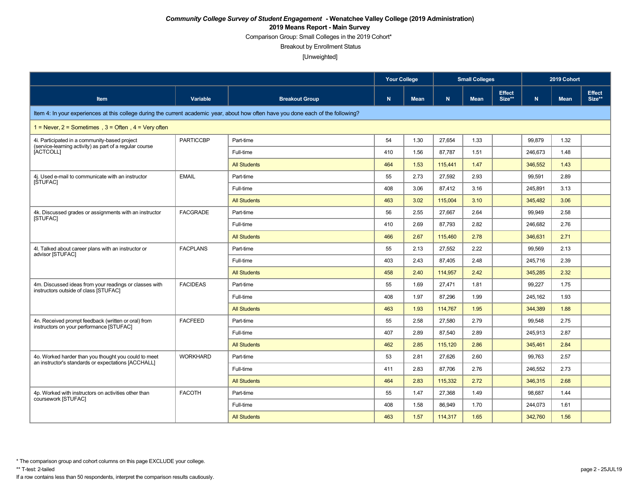Comparison Group: Small Colleges in the 2019 Cohort\*

Breakout by Enrollment Status

|                                                                                                                                    |                  |                       | <b>Your College</b><br><b>Small Colleges</b><br><b>Effect</b> |             |         |             | 2019 Cohort |         |             |                         |
|------------------------------------------------------------------------------------------------------------------------------------|------------------|-----------------------|---------------------------------------------------------------|-------------|---------|-------------|-------------|---------|-------------|-------------------------|
| <b>Item</b>                                                                                                                        | Variable         | <b>Breakout Group</b> | N                                                             | <b>Mean</b> | N.      | <b>Mean</b> | Size**      | N       | <b>Mean</b> | <b>Effect</b><br>Size** |
| Item 4: In your experiences at this college during the current academic year, about how often have you done each of the following? |                  |                       |                                                               |             |         |             |             |         |             |                         |
| 1 = Never, $2$ = Sometimes, $3$ = Often, $4$ = Very often                                                                          |                  |                       |                                                               |             |         |             |             |         |             |                         |
| 4i. Participated in a community-based project<br>(service-learning activity) as part of a regular course                           | <b>PARTICCBP</b> | Part-time             | 54                                                            | 1.30        | 27,654  | 1.33        |             | 99,879  | 1.32        |                         |
| [ACTCOLL]                                                                                                                          |                  | Full-time             | 410                                                           | 1.56        | 87.787  | 1.51        |             | 246,673 | 1.48        |                         |
|                                                                                                                                    |                  | <b>All Students</b>   | 464                                                           | 1.53        | 115,441 | 1.47        |             | 346,552 | 1.43        |                         |
| 4j. Used e-mail to communicate with an instructor<br>[STUFAC]                                                                      | <b>EMAIL</b>     | Part-time             | 55                                                            | 2.73        | 27.592  | 2.93        |             | 99,591  | 2.89        |                         |
|                                                                                                                                    |                  | Full-time             | 408                                                           | 3.06        | 87.412  | 3.16        |             | 245.891 | 3.13        |                         |
|                                                                                                                                    |                  | <b>All Students</b>   | 463                                                           | 3.02        | 115,004 | 3.10        |             | 345,482 | 3.06        |                         |
| 4k. Discussed grades or assignments with an instructor<br>[STUFAC]                                                                 | <b>FACGRADE</b>  | Part-time             | 56                                                            | 2.55        | 27.667  | 2.64        |             | 99,949  | 2.58        |                         |
|                                                                                                                                    |                  | Full-time             | 410                                                           | 2.69        | 87,793  | 2.82        |             | 246,682 | 2.76        |                         |
|                                                                                                                                    |                  | <b>All Students</b>   | 466                                                           | 2.67        | 115,460 | 2.78        |             | 346,631 | 2.71        |                         |
| 4. Talked about career plans with an instructor or<br>advisor [STUFAC]                                                             | <b>FACPLANS</b>  | Part-time             | 55                                                            | 2.13        | 27.552  | 2.22        |             | 99,569  | 2.13        |                         |
|                                                                                                                                    |                  | Full-time             | 403                                                           | 2.43        | 87,405  | 2.48        |             | 245,716 | 2.39        |                         |
|                                                                                                                                    |                  | <b>All Students</b>   | 458                                                           | 2.40        | 114.957 | 2.42        |             | 345,285 | 2.32        |                         |
| 4m. Discussed ideas from your readings or classes with<br>instructors outside of class [STUFAC]                                    | <b>FACIDEAS</b>  | Part-time             | 55                                                            | 1.69        | 27.471  | 1.81        |             | 99.227  | 1.75        |                         |
|                                                                                                                                    |                  | Full-time             | 408                                                           | 1.97        | 87,296  | 1.99        |             | 245,162 | 1.93        |                         |
|                                                                                                                                    |                  | <b>All Students</b>   | 463                                                           | 1.93        | 114.767 | 1.95        |             | 344,389 | 1.88        |                         |
| 4n. Received prompt feedback (written or oral) from<br>instructors on your performance [STUFAC]                                    | <b>FACFEED</b>   | Part-time             | 55                                                            | 2.58        | 27,580  | 2.79        |             | 99,548  | 2.75        |                         |
|                                                                                                                                    |                  | Full-time             | 407                                                           | 2.89        | 87.540  | 2.89        |             | 245,913 | 2.87        |                         |
|                                                                                                                                    |                  | <b>All Students</b>   | 462                                                           | 2.85        | 115.120 | 2.86        |             | 345.461 | 2.84        |                         |
| 4o. Worked harder than you thought you could to meet<br>an instructor's standards or expectations [ACCHALL]                        | <b>WORKHARD</b>  | Part-time             | 53                                                            | 2.81        | 27,626  | 2.60        |             | 99,763  | 2.57        |                         |
|                                                                                                                                    |                  | Full-time             | 411                                                           | 2.83        | 87.706  | 2.76        |             | 246,552 | 2.73        |                         |
|                                                                                                                                    |                  | <b>All Students</b>   | 464                                                           | 2.83        | 115,332 | 2.72        |             | 346,315 | 2.68        |                         |
| 4p. Worked with instructors on activities other than                                                                               | <b>FACOTH</b>    | Part-time             | 55                                                            | 1.47        | 27,368  | 1.49        |             | 98,687  | 1.44        |                         |
| coursework [STUFAC]                                                                                                                |                  | Full-time             | 408                                                           | 1.58        | 86.949  | 1.70        |             | 244.073 | 1.61        |                         |
|                                                                                                                                    |                  | <b>All Students</b>   | 463                                                           | 1.57        | 114,317 | 1.65        |             | 342,760 | 1.56        |                         |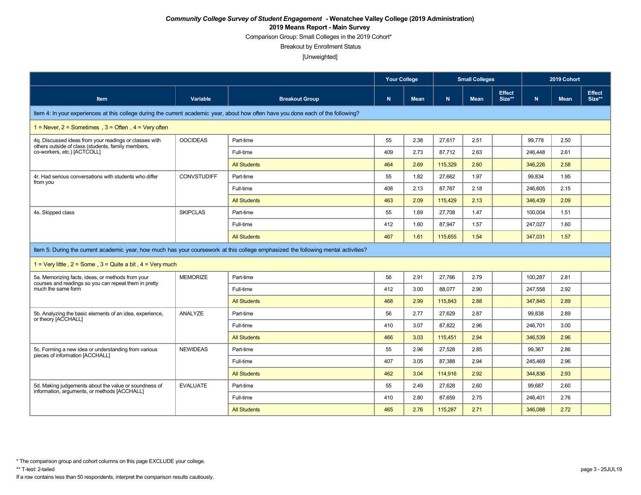Comparison Group: Small Colleges in the 2019 Cohort\*

Breakout by Enrollment Status

|                                                                                                                                    |                    |                                                                                                                                    | <b>Your College</b><br><b>Small Colleges</b> |             |         |             |                         | 2019 Cohort |             |                         |
|------------------------------------------------------------------------------------------------------------------------------------|--------------------|------------------------------------------------------------------------------------------------------------------------------------|----------------------------------------------|-------------|---------|-------------|-------------------------|-------------|-------------|-------------------------|
| Item                                                                                                                               | Variable           | <b>Breakout Group</b>                                                                                                              | N                                            | <b>Mean</b> | N       | <b>Mean</b> | <b>Effect</b><br>Size** | N           | <b>Mean</b> | <b>Effect</b><br>Size** |
| Item 4: In your experiences at this college during the current academic year, about how often have you done each of the following? |                    |                                                                                                                                    |                                              |             |         |             |                         |             |             |                         |
| $1 =$ Never, $2 =$ Sometimes, $3 =$ Often, $4 =$ Very often                                                                        |                    |                                                                                                                                    |                                              |             |         |             |                         |             |             |                         |
| 4q. Discussed ideas from your readings or classes with<br>others outside of class (students, family members,                       | <b>OOCIDEAS</b>    | Part-time                                                                                                                          | 55                                           | 2.38        | 27,617  | 2.51        |                         | 99,778      | 2.50        |                         |
| co-workers, etc.) [ACTCOLL]                                                                                                        |                    | Full-time                                                                                                                          | 409                                          | 2.73        | 87,712  | 2.63        |                         | 246,448     | 2.61        |                         |
|                                                                                                                                    |                    | <b>All Students</b>                                                                                                                | 464                                          | 2.69        | 115,329 | 2.60        |                         | 346,226     | 2.58        |                         |
| 4r. Had serious conversations with students who differ<br>from you                                                                 | <b>CONVSTUDIFF</b> | Part-time                                                                                                                          | 55                                           | 1.82        | 27,662  | 1.97        |                         | 99,834      | 1.95        |                         |
|                                                                                                                                    |                    | Full-time                                                                                                                          | 408                                          | 2.13        | 87.767  | 2.18        |                         | 246,605     | 2.15        |                         |
|                                                                                                                                    |                    | <b>All Students</b>                                                                                                                | 463                                          | 2.09        | 115,429 | 2.13        |                         | 346,439     | 2.09        |                         |
| 4s. Skipped class                                                                                                                  | <b>SKIPCLAS</b>    | Part-time                                                                                                                          | 55                                           | 1.69        | 27,708  | 1.47        |                         | 100,004     | 1.51        |                         |
|                                                                                                                                    |                    | Full-time                                                                                                                          | 412                                          | 1.60        | 87,947  | 1.57        |                         | 247,027     | 1.60        |                         |
|                                                                                                                                    |                    | <b>All Students</b>                                                                                                                | 467                                          | 1.61        | 115,655 | 1.54        |                         | 347,031     | 1.57        |                         |
|                                                                                                                                    |                    | Item 5: During the current academic year, how much has your coursework at this college emphasized the following mental activities? |                                              |             |         |             |                         |             |             |                         |
| 1 = Very little, $2 =$ Some, $3 =$ Quite a bit, $4 =$ Very much                                                                    |                    |                                                                                                                                    |                                              |             |         |             |                         |             |             |                         |
| 5a. Memorizing facts, ideas, or methods from your<br>courses and readings so you can repeat them in pretty                         | <b>MEMORIZE</b>    | Part-time                                                                                                                          | 56                                           | 2.91        | 27.766  | 2.79        |                         | 100,287     | 2.81        |                         |
| much the same form                                                                                                                 |                    | Full-time                                                                                                                          | 412                                          | 3.00        | 88.077  | 2.90        |                         | 247,558     | 2.92        |                         |
|                                                                                                                                    |                    | <b>All Students</b>                                                                                                                | 468                                          | 2.99        | 115.843 | 2.88        |                         | 347.845     | 2.89        |                         |
| 5b. Analyzing the basic elements of an idea, experience,<br>or theory [ACCHALL]                                                    | ANALYZE            | Part-time                                                                                                                          | 56                                           | 2.77        | 27.629  | 2.87        |                         | 99,838      | 2.89        |                         |
|                                                                                                                                    |                    | Full-time                                                                                                                          | 410                                          | 3.07        | 87.822  | 2.96        |                         | 246,701     | 3.00        |                         |
|                                                                                                                                    |                    | <b>All Students</b>                                                                                                                | 466                                          | 3.03        | 115.451 | 2.94        |                         | 346,539     | 2.96        |                         |
| 5c. Forming a new idea or understanding from various<br>pieces of information [ACCHALL]                                            | <b>NEWIDEAS</b>    | Part-time                                                                                                                          | 55                                           | 2.96        | 27.528  | 2.85        |                         | 99,367      | 2.86        |                         |
|                                                                                                                                    |                    | Full-time                                                                                                                          | 407                                          | 3.05        | 87,388  | 2.94        |                         | 245,469     | 2.96        |                         |
|                                                                                                                                    |                    | <b>All Students</b>                                                                                                                | 462                                          | 3.04        | 114,916 | 2.92        |                         | 344,836     | 2.93        |                         |
| 5d. Making judgements about the value or soundness of                                                                              | <b>EVALUATE</b>    | Part-time                                                                                                                          | 55                                           | 2.49        | 27,628  | 2.60        |                         | 99,687      | 2.60        |                         |
| information, arguments, or methods [ACCHALL]                                                                                       |                    | Full-time                                                                                                                          | 410                                          | 2.80        | 87,659  | 2.75        |                         | 246,401     | 2.76        |                         |
|                                                                                                                                    |                    | <b>All Students</b>                                                                                                                | 465                                          | 2.76        | 115,287 | 2.71        |                         | 346,088     | 2.72        |                         |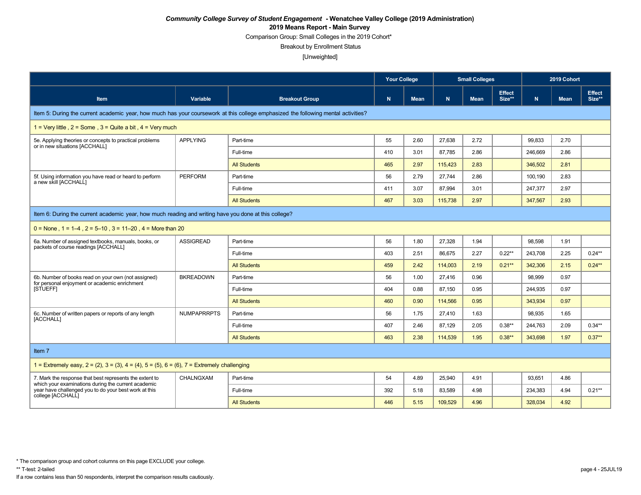Comparison Group: Small Colleges in the 2019 Cohort\*

Breakout by Enrollment Status

|                                                                                                                                    |                    |                       | <b>Your College</b> |             |         | <b>Small Colleges</b><br><b>Mean</b> |                         |         |             | 2019 Cohort             |  |
|------------------------------------------------------------------------------------------------------------------------------------|--------------------|-----------------------|---------------------|-------------|---------|--------------------------------------|-------------------------|---------|-------------|-------------------------|--|
| Item                                                                                                                               | Variable           | <b>Breakout Group</b> | N                   | <b>Mean</b> | N       |                                      | <b>Effect</b><br>Size** | N       | <b>Mean</b> | <b>Effect</b><br>Size** |  |
| Item 5: During the current academic year, how much has your coursework at this college emphasized the following mental activities? |                    |                       |                     |             |         |                                      |                         |         |             |                         |  |
| 1 = Very little, $2 =$ Some, $3 =$ Quite a bit, $4 =$ Very much                                                                    |                    |                       |                     |             |         |                                      |                         |         |             |                         |  |
| 5e. Applying theories or concepts to practical problems<br>or in new situations [ACCHALL]                                          | <b>APPLYING</b>    | Part-time             | 55                  | 2.60        | 27.638  | 2.72                                 |                         | 99,833  | 2.70        |                         |  |
|                                                                                                                                    |                    | Full-time             | 410                 | 3.01        | 87.785  | 2.86                                 |                         | 246,669 | 2.86        |                         |  |
|                                                                                                                                    |                    | <b>All Students</b>   | 465                 | 2.97        | 115,423 | 2.83                                 |                         | 346,502 | 2.81        |                         |  |
| 5f. Using information you have read or heard to perform<br>a new skill [ACCHALL]                                                   | <b>PERFORM</b>     | Part-time             | 56                  | 2.79        | 27,744  | 2.86                                 |                         | 100,190 | 2.83        |                         |  |
|                                                                                                                                    |                    | Full-time             | 411                 | 3.07        | 87,994  | 3.01                                 |                         | 247,377 | 2.97        |                         |  |
|                                                                                                                                    |                    | <b>All Students</b>   | 467                 | 3.03        | 115,738 | 2.97                                 |                         | 347,567 | 2.93        |                         |  |
| Item 6: During the current academic year, how much reading and writing have you done at this college?                              |                    |                       |                     |             |         |                                      |                         |         |             |                         |  |
| $0 =$ None, 1 = 1–4, 2 = 5–10, 3 = 11–20, 4 = More than 20                                                                         |                    |                       |                     |             |         |                                      |                         |         |             |                         |  |
| 6a. Number of assigned textbooks, manuals, books, or<br>packets of course readings [ACCHALL]                                       | <b>ASSIGREAD</b>   | Part-time             | 56                  | 1.80        | 27,328  | 1.94                                 |                         | 98,598  | 1.91        |                         |  |
|                                                                                                                                    |                    | Full-time             | 403                 | 2.51        | 86,675  | 2.27                                 | $0.22***$               | 243,708 | 2.25        | $0.24***$               |  |
|                                                                                                                                    |                    | <b>All Students</b>   | 459                 | 2.42        | 114.003 | 2.19                                 | $0.21***$               | 342,306 | 2.15        | $0.24***$               |  |
| 6b. Number of books read on your own (not assigned)<br>for personal enjoyment or academic enrichment                               | <b>BKREADOWN</b>   | Part-time             | 56                  | 1.00        | 27,416  | 0.96                                 |                         | 98,999  | 0.97        |                         |  |
| [STUEFF]                                                                                                                           |                    | Full-time             | 404                 | 0.88        | 87,150  | 0.95                                 |                         | 244,935 | 0.97        |                         |  |
|                                                                                                                                    |                    | <b>All Students</b>   | 460                 | 0.90        | 114.566 | 0.95                                 |                         | 343,934 | 0.97        |                         |  |
| 6c. Number of written papers or reports of any length<br>[ACCHALL]                                                                 | <b>NUMPAPRRPTS</b> | Part-time             | 56                  | 1.75        | 27,410  | 1.63                                 |                         | 98.935  | 1.65        |                         |  |
|                                                                                                                                    |                    | Full-time             | 407                 | 2.46        | 87.129  | 2.05                                 | $0.38**$                | 244,763 | 2.09        | $0.34**$                |  |
|                                                                                                                                    |                    | <b>All Students</b>   | 463                 | 2.38        | 114.539 | 1.95                                 | $0.38***$               | 343.698 | 1.97        | $0.37**$                |  |
| Item 7                                                                                                                             |                    |                       |                     |             |         |                                      |                         |         |             |                         |  |
| 1 = Extremely easy, $2 = (2)$ , $3 = (3)$ , $4 = (4)$ , $5 = (5)$ , $6 = (6)$ , $7 =$ Extremely challenging                        |                    |                       |                     |             |         |                                      |                         |         |             |                         |  |
| 7. Mark the response that best represents the extent to<br>which your examinations during the current academic                     | CHALNGXAM          | Part-time             | 54                  | 4.89        | 25,940  | 4.91                                 |                         | 93,651  | 4.86        |                         |  |
| year have challenged you to do your best work at this<br>college [ACCHALL]                                                         |                    | Full-time             | 392                 | 5.18        | 83,589  | 4.98                                 |                         | 234,383 | 4.94        | $0.21**$                |  |
|                                                                                                                                    |                    | <b>All Students</b>   | 446                 | 5.15        | 109,529 | 4.96                                 |                         | 328,034 | 4.92        |                         |  |

<sup>\*</sup> The comparison group and cohort columns on this page EXCLUDE your college.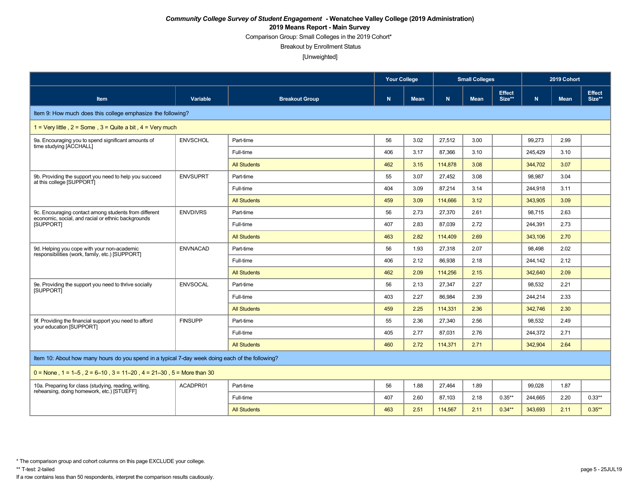Comparison Group: Small Colleges in the 2019 Cohort\*

Breakout by Enrollment Status

[Unweighted]

|                                                                                                             |                 |                       | <b>Your College</b> |             | <b>Small Colleges</b> |             |                         | 2019 Cohort |             |                         |
|-------------------------------------------------------------------------------------------------------------|-----------------|-----------------------|---------------------|-------------|-----------------------|-------------|-------------------------|-------------|-------------|-------------------------|
| Item                                                                                                        | Variable        | <b>Breakout Group</b> | N                   | <b>Mean</b> | N                     | <b>Mean</b> | <b>Effect</b><br>Size** | N           | <b>Mean</b> | <b>Effect</b><br>Size** |
| Item 9: How much does this college emphasize the following?                                                 |                 |                       |                     |             |                       |             |                         |             |             |                         |
| 1 = Very little, $2 =$ Some, $3 =$ Quite a bit, $4 =$ Very much                                             |                 |                       |                     |             |                       |             |                         |             |             |                         |
| 9a. Encouraging you to spend significant amounts of<br>time studying [ACCHALL]                              | <b>ENVSCHOL</b> | Part-time             | 56                  | 3.02        | 27,512                | 3.00        |                         | 99,273      | 2.99        |                         |
|                                                                                                             |                 | Full-time             | 406                 | 3.17        | 87.366                | 3.10        |                         | 245.429     | 3.10        |                         |
|                                                                                                             |                 | <b>All Students</b>   | 462                 | 3.15        | 114,878               | 3.08        |                         | 344,702     | 3.07        |                         |
| 9b. Providing the support you need to help you succeed<br>at this college [SUPPORT]                         | <b>ENVSUPRT</b> | Part-time             | 55                  | 3.07        | 27,452                | 3.08        |                         | 98,987      | 3.04        |                         |
|                                                                                                             |                 | Full-time             | 404                 | 3.09        | 87,214                | 3.14        |                         | 244,918     | 3.11        |                         |
|                                                                                                             |                 | <b>All Students</b>   | 459                 | 3.09        | 114,666               | 3.12        |                         | 343,905     | 3.09        |                         |
| 9c. Encouraging contact among students from different<br>economic, social, and racial or ethnic backgrounds | <b>ENVDIVRS</b> | Part-time             | 56                  | 2.73        | 27,370                | 2.61        |                         | 98,715      | 2.63        |                         |
| [SUPPORT]                                                                                                   |                 | Full-time             | 407                 | 2.83        | 87,039                | 2.72        |                         | 244,391     | 2.73        |                         |
|                                                                                                             |                 | <b>All Students</b>   | 463                 | 2.82        | 114,409               | 2.69        |                         | 343,106     | 2.70        |                         |
| 9d. Helping you cope with your non-academic<br>responsibilities (work, family, etc.) [SUPPORT]              | <b>ENVNACAD</b> | Part-time             | 56                  | 1.93        | 27.318                | 2.07        |                         | 98,498      | 2.02        |                         |
|                                                                                                             |                 | Full-time             | 406                 | 2.12        | 86,938                | 2.18        |                         | 244,142     | 2.12        |                         |
|                                                                                                             |                 | <b>All Students</b>   | 462                 | 2.09        | 114,256               | 2.15        |                         | 342,640     | 2.09        |                         |
| 9e. Providing the support you need to thrive socially<br><b>ISUPPORTI</b>                                   | <b>ENVSOCAL</b> | Part-time             | 56                  | 2.13        | 27,347                | 2.27        |                         | 98,532      | 2.21        |                         |
|                                                                                                             |                 | Full-time             | 403                 | 2.27        | 86.984                | 2.39        |                         | 244,214     | 2.33        |                         |
|                                                                                                             |                 | <b>All Students</b>   | 459                 | 2.25        | 114,331               | 2.36        |                         | 342,746     | 2.30        |                         |
| 9f. Providing the financial support you need to afford<br>your education [SUPPORT]                          | <b>FINSUPP</b>  | Part-time             | 55                  | 2.36        | 27,340                | 2.56        |                         | 98,532      | 2.49        |                         |
|                                                                                                             |                 | Full-time             | 405                 | 2.77        | 87,031                | 2.76        |                         | 244,372     | 2.71        |                         |
|                                                                                                             |                 | <b>All Students</b>   | 460                 | 2.72        | 114,371               | 2.71        |                         | 342,904     | 2.64        |                         |
| Item 10: About how many hours do you spend in a typical 7-day week doing each of the following?             |                 |                       |                     |             |                       |             |                         |             |             |                         |
| $0 =$ None, 1 = 1–5, 2 = 6–10, 3 = 11–20, 4 = 21–30, 5 = More than 30                                       |                 |                       |                     |             |                       |             |                         |             |             |                         |
| 10a. Preparing for class (studying, reading, writing,<br>rehearsing, doing homework, etc.) [STUEFF]         | ACADPR01        | Part-time             | 56                  | 1.88        | 27,464                | 1.89        |                         | 99,028      | 1.87        |                         |
|                                                                                                             |                 | Full-time             | 407                 | 2.60        | 87.103                | 2.18        | $0.35***$               | 244.665     | 2.20        | $0.33**$                |
|                                                                                                             |                 | <b>All Students</b>   | 463                 | 2.51        | 114,567               | 2.11        | $0.34***$               | 343,693     | 2.11        | $0.35***$               |

\* The comparison group and cohort columns on this page EXCLUDE your college.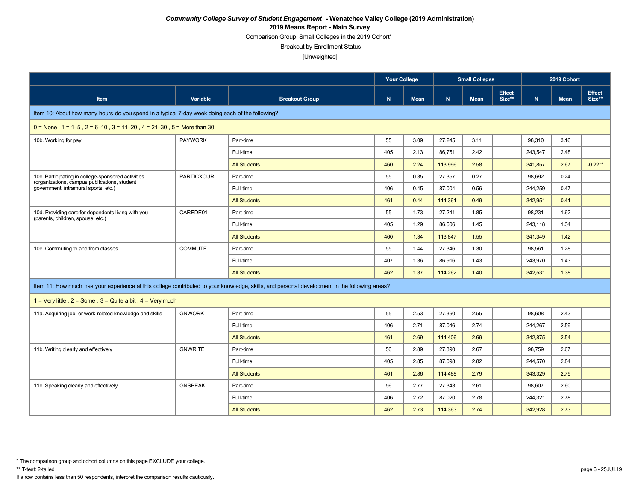Comparison Group: Small Colleges in the 2019 Cohort\*

Breakout by Enrollment Status

[Unweighted]

|                                                                                                    |                   |                                                                                                                                               | <b>Your College</b> |             | <b>Small Colleges</b><br>2019 Cohort<br><b>Effect</b> |             |        |           |             |                         |
|----------------------------------------------------------------------------------------------------|-------------------|-----------------------------------------------------------------------------------------------------------------------------------------------|---------------------|-------------|-------------------------------------------------------|-------------|--------|-----------|-------------|-------------------------|
| Item                                                                                               | Variable          | <b>Breakout Group</b>                                                                                                                         | N                   | <b>Mean</b> | N                                                     | <b>Mean</b> | Size** | ${\bf N}$ | <b>Mean</b> | <b>Effect</b><br>Size** |
| Item 10: About how many hours do you spend in a typical 7-day week doing each of the following?    |                   |                                                                                                                                               |                     |             |                                                       |             |        |           |             |                         |
| $0 =$ None, 1 = 1–5, 2 = 6–10, 3 = 11–20, 4 = 21–30, 5 = More than 30                              |                   |                                                                                                                                               |                     |             |                                                       |             |        |           |             |                         |
| 10b. Working for pay                                                                               | <b>PAYWORK</b>    | Part-time                                                                                                                                     | 55                  | 3.09        | 27.245                                                | 3.11        |        | 98,310    | 3.16        |                         |
|                                                                                                    |                   | Full-time                                                                                                                                     | 405                 | 2.13        | 86,751                                                | 2.42        |        | 243,547   | 2.48        |                         |
|                                                                                                    |                   | <b>All Students</b>                                                                                                                           | 460                 | 2.24        | 113.996                                               | 2.58        |        | 341,857   | 2.67        | $-0.22**$               |
| 10c. Participating in college-sponsored activities<br>(organizations, campus publications, student | <b>PARTICXCUR</b> | Part-time                                                                                                                                     | 55                  | 0.35        | 27,357                                                | 0.27        |        | 98,692    | 0.24        |                         |
| government, intramural sports, etc.)                                                               |                   | Full-time                                                                                                                                     | 406                 | 0.45        | 87,004                                                | 0.56        |        | 244,259   | 0.47        |                         |
|                                                                                                    |                   | <b>All Students</b>                                                                                                                           | 461                 | 0.44        | 114.361                                               | 0.49        |        | 342,951   | 0.41        |                         |
| 10d. Providing care for dependents living with you<br>(parents, children, spouse, etc.)            | CAREDE01          | Part-time                                                                                                                                     | 55                  | 1.73        | 27,241                                                | 1.85        |        | 98,231    | 1.62        |                         |
|                                                                                                    |                   | Full-time                                                                                                                                     | 405                 | 1.29        | 86,606                                                | 1.45        |        | 243,118   | 1.34        |                         |
|                                                                                                    |                   | <b>All Students</b>                                                                                                                           | 460                 | 1.34        | 113.847                                               | 1.55        |        | 341,349   | 1.42        |                         |
| 10e. Commuting to and from classes                                                                 | <b>COMMUTE</b>    | Part-time                                                                                                                                     | 55                  | 1.44        | 27.346                                                | 1.30        |        | 98,561    | 1.28        |                         |
|                                                                                                    |                   | Full-time                                                                                                                                     | 407                 | 1.36        | 86,916                                                | 1.43        |        | 243,970   | 1.43        |                         |
|                                                                                                    |                   | <b>All Students</b>                                                                                                                           | 462                 | 1.37        | 114,262                                               | 1.40        |        | 342,531   | 1.38        |                         |
|                                                                                                    |                   | Item 11: How much has your experience at this college contributed to your knowledge, skills, and personal development in the following areas? |                     |             |                                                       |             |        |           |             |                         |
| 1 = Very little, $2 =$ Some, $3 =$ Quite a bit, $4 =$ Very much                                    |                   |                                                                                                                                               |                     |             |                                                       |             |        |           |             |                         |
| 11a. Acquiring job- or work-related knowledge and skills                                           | <b>GNWORK</b>     | Part-time                                                                                                                                     | 55                  | 2.53        | 27,360                                                | 2.55        |        | 98,608    | 2.43        |                         |
|                                                                                                    |                   | Full-time                                                                                                                                     | 406                 | 2.71        | 87.046                                                | 2.74        |        | 244,267   | 2.59        |                         |
|                                                                                                    |                   | <b>All Students</b>                                                                                                                           | 461                 | 2.69        | 114,406                                               | 2.69        |        | 342,875   | 2.54        |                         |
| 11b. Writing clearly and effectively                                                               | <b>GNWRITE</b>    | Part-time                                                                                                                                     | 56                  | 2.89        | 27.390                                                | 2.67        |        | 98,759    | 2.67        |                         |
|                                                                                                    |                   | Full-time                                                                                                                                     | 405                 | 2.85        | 87,098                                                | 2.82        |        | 244,570   | 2.84        |                         |
|                                                                                                    |                   | <b>All Students</b>                                                                                                                           | 461                 | 2.86        | 114.488                                               | 2.79        |        | 343,329   | 2.79        |                         |
| 11c. Speaking clearly and effectively                                                              | <b>GNSPEAK</b>    | Part-time                                                                                                                                     | 56                  | 2.77        | 27,343                                                | 2.61        |        | 98,607    | 2.60        |                         |
|                                                                                                    |                   | Full-time                                                                                                                                     | 406                 | 2.72        | 87,020                                                | 2.78        |        | 244,321   | 2.78        |                         |
|                                                                                                    |                   | <b>All Students</b>                                                                                                                           | 462                 | 2.73        | 114.363                                               | 2.74        |        | 342.928   | 2.73        |                         |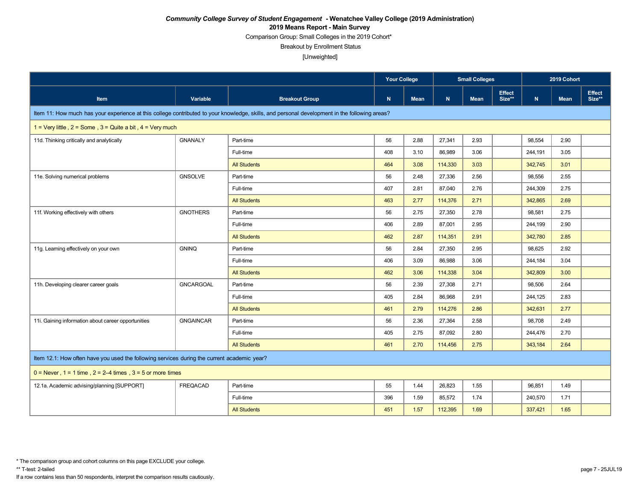Comparison Group: Small Colleges in the 2019 Cohort\*

Breakout by Enrollment Status

[Unweighted]

|                                                                                             |                  |                                                                                                                                               | <b>Your College</b> |             |             | <b>Small Colleges</b><br>2019 Cohort<br><b>Effect</b> |        |         |             |                  |
|---------------------------------------------------------------------------------------------|------------------|-----------------------------------------------------------------------------------------------------------------------------------------------|---------------------|-------------|-------------|-------------------------------------------------------|--------|---------|-------------|------------------|
| Item                                                                                        | Variable         | <b>Breakout Group</b>                                                                                                                         | ${\bf N}$           | <b>Mean</b> | $\mathbf N$ | <b>Mean</b>                                           | Size** | N       | <b>Mean</b> | Effect<br>Size** |
|                                                                                             |                  | Item 11: How much has your experience at this college contributed to your knowledge, skills, and personal development in the following areas? |                     |             |             |                                                       |        |         |             |                  |
| 1 = Very little, $2 =$ Some, $3 =$ Quite a bit, $4 =$ Very much                             |                  |                                                                                                                                               |                     |             |             |                                                       |        |         |             |                  |
| 11d. Thinking critically and analytically                                                   | <b>GNANALY</b>   | Part-time                                                                                                                                     | 56                  | 2.88        | 27,341      | 2.93                                                  |        | 98,554  | 2.90        |                  |
|                                                                                             |                  | Full-time                                                                                                                                     | 408                 | 3.10        | 86.989      | 3.06                                                  |        | 244,191 | 3.05        |                  |
|                                                                                             |                  | <b>All Students</b>                                                                                                                           | 464                 | 3.08        | 114,330     | 3.03                                                  |        | 342,745 | 3.01        |                  |
| 11e. Solving numerical problems                                                             | <b>GNSOLVE</b>   | Part-time                                                                                                                                     | 56                  | 2.48        | 27,336      | 2.56                                                  |        | 98,556  | 2.55        |                  |
|                                                                                             |                  | Full-time                                                                                                                                     | 407                 | 2.81        | 87,040      | 2.76                                                  |        | 244,309 | 2.75        |                  |
|                                                                                             |                  | <b>All Students</b>                                                                                                                           | 463                 | 2.77        | 114,376     | 2.71                                                  |        | 342,865 | 2.69        |                  |
| 11f. Working effectively with others                                                        | <b>GNOTHERS</b>  | Part-time                                                                                                                                     | 56                  | 2.75        | 27,350      | 2.78                                                  |        | 98,581  | 2.75        |                  |
|                                                                                             |                  | Full-time                                                                                                                                     | 406                 | 2.89        | 87,001      | 2.95                                                  |        | 244,199 | 2.90        |                  |
|                                                                                             |                  | <b>All Students</b>                                                                                                                           | 462                 | 2.87        | 114,351     | 2.91                                                  |        | 342,780 | 2.85        |                  |
| 11g. Learning effectively on your own                                                       | <b>GNINQ</b>     | Part-time                                                                                                                                     | 56                  | 2.84        | 27,350      | 2.95                                                  |        | 98,625  | 2.92        |                  |
|                                                                                             |                  | Full-time                                                                                                                                     | 406                 | 3.09        | 86,988      | 3.06                                                  |        | 244,184 | 3.04        |                  |
|                                                                                             |                  | <b>All Students</b>                                                                                                                           | 462                 | 3.06        | 114,338     | 3.04                                                  |        | 342,809 | 3.00        |                  |
| 11h. Developing clearer career goals                                                        | GNCARGOAL        | Part-time                                                                                                                                     | 56                  | 2.39        | 27,308      | 2.71                                                  |        | 98,506  | 2.64        |                  |
|                                                                                             |                  | Full-time                                                                                                                                     | 405                 | 2.84        | 86.968      | 2.91                                                  |        | 244,125 | 2.83        |                  |
|                                                                                             |                  | <b>All Students</b>                                                                                                                           | 461                 | 2.79        | 114,276     | 2.86                                                  |        | 342,631 | 2.77        |                  |
| 11. Gaining information about career opportunities                                          | <b>GNGAINCAR</b> | Part-time                                                                                                                                     | 56                  | 2.36        | 27,364      | 2.58                                                  |        | 98,708  | 2.49        |                  |
|                                                                                             |                  | Full-time                                                                                                                                     | 405                 | 2.75        | 87,092      | 2.80                                                  |        | 244,476 | 2.70        |                  |
|                                                                                             |                  | <b>All Students</b>                                                                                                                           | 461                 | 2.70        | 114,456     | 2.75                                                  |        | 343,184 | 2.64        |                  |
| Item 12.1: How often have you used the following services during the current academic year? |                  |                                                                                                                                               |                     |             |             |                                                       |        |         |             |                  |
| $0 =$ Never, $1 = 1$ time, $2 = 2-4$ times, $3 = 5$ or more times                           |                  |                                                                                                                                               |                     |             |             |                                                       |        |         |             |                  |
| 12.1a. Academic advising/planning [SUPPORT]                                                 | <b>FREQACAD</b>  | Part-time                                                                                                                                     | 55                  | 1.44        | 26,823      | 1.55                                                  |        | 96,851  | 1.49        |                  |
|                                                                                             |                  | Full-time                                                                                                                                     | 396                 | 1.59        | 85,572      | 1.74                                                  |        | 240,570 | 1.71        |                  |
|                                                                                             |                  | <b>All Students</b>                                                                                                                           | 451                 | 1.57        | 112,395     | 1.69                                                  |        | 337,421 | 1.65        |                  |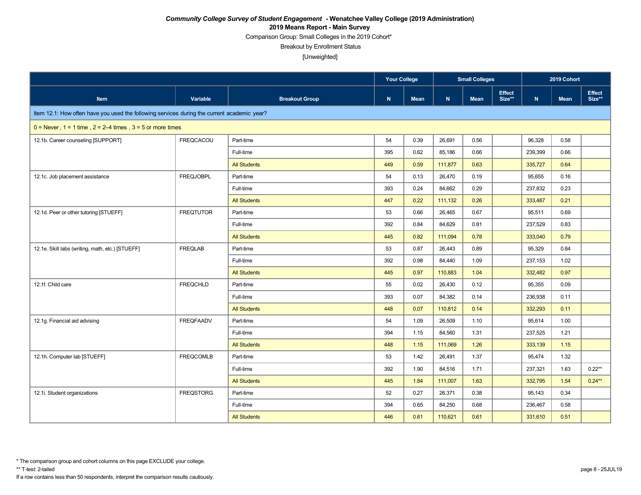Comparison Group: Small Colleges in the 2019 Cohort\*

Breakout by Enrollment Status

[Unweighted]

|                                                                                             |                  |                       |     | <b>Your College</b><br><b>Small Colleges</b> |         |             | 2019 Cohort             |         |             |                         |
|---------------------------------------------------------------------------------------------|------------------|-----------------------|-----|----------------------------------------------|---------|-------------|-------------------------|---------|-------------|-------------------------|
| Item                                                                                        | Variable         | <b>Breakout Group</b> | N   | Mean                                         | N       | <b>Mean</b> | <b>Effect</b><br>Size** | N       | <b>Mean</b> | <b>Effect</b><br>Size** |
| Item 12.1: How often have you used the following services during the current academic year? |                  |                       |     |                                              |         |             |                         |         |             |                         |
| $0 =$ Never, $1 = 1$ time, $2 = 2-4$ times, $3 = 5$ or more times                           |                  |                       |     |                                              |         |             |                         |         |             |                         |
| 12.1b. Career counseling [SUPPORT]                                                          | FREQCACOU        | Part-time             | 54  | 0.39                                         | 26,691  | 0.56        |                         | 96,328  | 0.58        |                         |
|                                                                                             |                  | Full-time             | 395 | 0.62                                         | 85,186  | 0.66        |                         | 239,399 | 0.66        |                         |
|                                                                                             |                  | <b>All Students</b>   | 449 | 0.59                                         | 111.877 | 0.63        |                         | 335,727 | 0.64        |                         |
| 12.1c. Job placement assistance                                                             | <b>FREQJOBPL</b> | Part-time             | 54  | 0.13                                         | 26,470  | 0.19        |                         | 95,655  | 0.16        |                         |
|                                                                                             |                  | Full-time             | 393 | 0.24                                         | 84,662  | 0.29        |                         | 237,832 | 0.23        |                         |
|                                                                                             |                  | <b>All Students</b>   | 447 | 0.22                                         | 111,132 | 0.26        |                         | 333,487 | 0.21        |                         |
| 12.1d. Peer or other tutoring [STUEFF]                                                      | <b>FREQTUTOR</b> | Part-time             | 53  | 0.66                                         | 26,465  | 0.67        |                         | 95,511  | 0.69        |                         |
|                                                                                             |                  | Full-time             | 392 | 0.84                                         | 84,629  | 0.81        |                         | 237,529 | 0.83        |                         |
|                                                                                             |                  | <b>All Students</b>   | 445 | 0.82                                         | 111,094 | 0.78        |                         | 333,040 | 0.79        |                         |
| 12.1e. Skill labs (writing, math, etc.) [STUEFF]                                            | <b>FREQLAB</b>   | Part-time             | 53  | 0.87                                         | 26.443  | 0.89        |                         | 95,329  | 0.84        |                         |
|                                                                                             |                  | Full-time             | 392 | 0.98                                         | 84,440  | 1.09        |                         | 237,153 | 1.02        |                         |
|                                                                                             |                  | <b>All Students</b>   | 445 | 0.97                                         | 110.883 | 1.04        |                         | 332,482 | 0.97        |                         |
| 12.1f. Child care                                                                           | <b>FREQCHLD</b>  | Part-time             | 55  | 0.02                                         | 26,430  | 0.12        |                         | 95,355  | 0.09        |                         |
|                                                                                             |                  | Full-time             | 393 | 0.07                                         | 84,382  | 0.14        |                         | 236,938 | 0.11        |                         |
|                                                                                             |                  | <b>All Students</b>   | 448 | 0.07                                         | 110,812 | 0.14        |                         | 332,293 | 0.11        |                         |
| 12.1g. Financial aid advising                                                               | <b>FREQFAADV</b> | Part-time             | 54  | 1.09                                         | 26,509  | 1.10        |                         | 95,614  | 1.00        |                         |
|                                                                                             |                  | Full-time             | 394 | 1.15                                         | 84,560  | 1.31        |                         | 237,525 | 1.21        |                         |
|                                                                                             |                  | <b>All Students</b>   | 448 | 1.15                                         | 111,069 | 1.26        |                         | 333,139 | 1.15        |                         |
| 12.1h. Computer lab [STUEFF]                                                                | <b>FREQCOMLB</b> | Part-time             | 53  | 1.42                                         | 26.491  | 1.37        |                         | 95,474  | 1.32        |                         |
|                                                                                             |                  | Full-time             | 392 | 1.90                                         | 84,516  | 1.71        |                         | 237,321 | 1.63        | $0.22***$               |
|                                                                                             |                  | <b>All Students</b>   | 445 | 1.84                                         | 111,007 | 1.63        |                         | 332,795 | 1.54        | $0.24**$                |
| 12.1i. Student organizations                                                                | <b>FREQSTORG</b> | Part-time             | 52  | 0.27                                         | 26,371  | 0.38        |                         | 95,143  | 0.34        |                         |
|                                                                                             |                  | Full-time             | 394 | 0.65                                         | 84,250  | 0.68        |                         | 236,467 | 0.58        |                         |
|                                                                                             |                  | <b>All Students</b>   | 446 | 0.61                                         | 110,621 | 0.61        |                         | 331,610 | 0.51        |                         |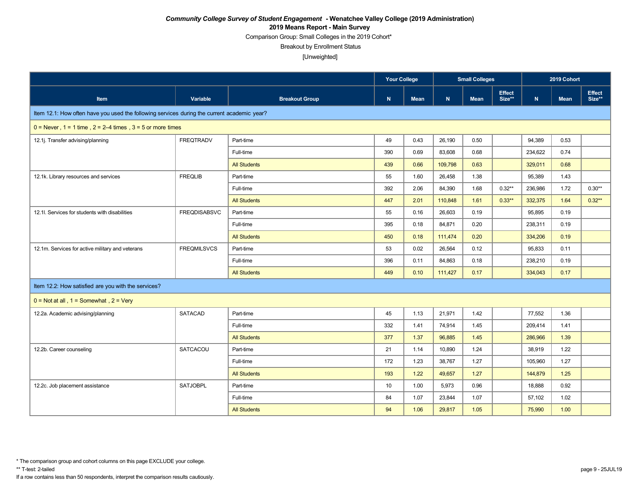Comparison Group: Small Colleges in the 2019 Cohort\*

Breakout by Enrollment Status

[Unweighted]

|                                                                                             |                     |                       | Your College |             | <b>Small Colleges</b><br><b>Effect</b> |             |           | 2019 Cohort |             |                         |
|---------------------------------------------------------------------------------------------|---------------------|-----------------------|--------------|-------------|----------------------------------------|-------------|-----------|-------------|-------------|-------------------------|
| Item                                                                                        | Variable            | <b>Breakout Group</b> | N            | <b>Mean</b> | N                                      | <b>Mean</b> | Size**    | N           | <b>Mean</b> | <b>Effect</b><br>Size** |
| Item 12.1: How often have you used the following services during the current academic year? |                     |                       |              |             |                                        |             |           |             |             |                         |
| $0 =$ Never, 1 = 1 time, 2 = 2–4 times, 3 = 5 or more times                                 |                     |                       |              |             |                                        |             |           |             |             |                         |
| 12.1j. Transfer advising/planning                                                           | <b>FREQTRADV</b>    | Part-time             | 49           | 0.43        | 26,190                                 | 0.50        |           | 94,389      | 0.53        |                         |
|                                                                                             |                     | Full-time             | 390          | 0.69        | 83,608                                 | 0.68        |           | 234,622     | 0.74        |                         |
|                                                                                             |                     | <b>All Students</b>   | 439          | 0.66        | 109.798                                | 0.63        |           | 329,011     | 0.68        |                         |
| 12.1k. Library resources and services                                                       | <b>FREQLIB</b>      | Part-time             | 55           | 1.60        | 26,458                                 | 1.38        |           | 95,389      | 1.43        |                         |
|                                                                                             |                     | Full-time             | 392          | 2.06        | 84,390                                 | 1.68        | $0.32**$  | 236,986     | 1.72        | $0.30**$                |
|                                                                                             |                     | <b>All Students</b>   | 447          | 2.01        | 110,848                                | 1.61        | $0.33***$ | 332,375     | 1.64        | $0.32**$                |
| 12.1l. Services for students with disabilities                                              | <b>FREQDISABSVC</b> | Part-time             | 55           | 0.16        | 26,603                                 | 0.19        |           | 95,895      | 0.19        |                         |
|                                                                                             |                     | Full-time             | 395          | 0.18        | 84,871                                 | 0.20        |           | 238,311     | 0.19        |                         |
|                                                                                             |                     | <b>All Students</b>   | 450          | 0.18        | 111,474                                | 0.20        |           | 334,206     | 0.19        |                         |
| 12.1m. Services for active military and veterans                                            | <b>FREQMILSVCS</b>  | Part-time             | 53           | 0.02        | 26,564                                 | 0.12        |           | 95,833      | 0.11        |                         |
|                                                                                             |                     | Full-time             | 396          | 0.11        | 84,863                                 | 0.18        |           | 238,210     | 0.19        |                         |
|                                                                                             |                     | <b>All Students</b>   | 449          | 0.10        | 111,427                                | 0.17        |           | 334,043     | 0.17        |                         |
| Item 12.2: How satisfied are you with the services?                                         |                     |                       |              |             |                                        |             |           |             |             |                         |
| $0 = Not at all$ , $1 = Somewhat$ , $2 = Very$                                              |                     |                       |              |             |                                        |             |           |             |             |                         |
| 12.2a. Academic advising/planning                                                           | <b>SATACAD</b>      | Part-time             | 45           | 1.13        | 21,971                                 | 1.42        |           | 77,552      | 1.36        |                         |
|                                                                                             |                     | Full-time             | 332          | 1.41        | 74,914                                 | 1.45        |           | 209,414     | 1.41        |                         |
|                                                                                             |                     | <b>All Students</b>   | 377          | 1.37        | 96.885                                 | 1.45        |           | 286,966     | 1.39        |                         |
| 12.2b. Career counseling                                                                    | SATCACOU            | Part-time             | 21           | 1.14        | 10,890                                 | 1.24        |           | 38,919      | 1.22        |                         |
|                                                                                             |                     | Full-time             | 172          | 1.23        | 38,767                                 | 1.27        |           | 105,960     | 1.27        |                         |
|                                                                                             |                     | <b>All Students</b>   | 193          | 1.22        | 49,657                                 | $1.27$      |           | 144,879     | 1.25        |                         |
| 12.2c. Job placement assistance                                                             | <b>SATJOBPL</b>     | Part-time             | 10           | 1.00        | 5,973                                  | 0.96        |           | 18,888      | 0.92        |                         |
|                                                                                             |                     | Full-time             | 84           | 1.07        | 23,844                                 | 1.07        |           | 57,102      | 1.02        |                         |
|                                                                                             |                     | <b>All Students</b>   | 94           | 1.06        | 29,817                                 | 1.05        |           | 75,990      | 1.00        |                         |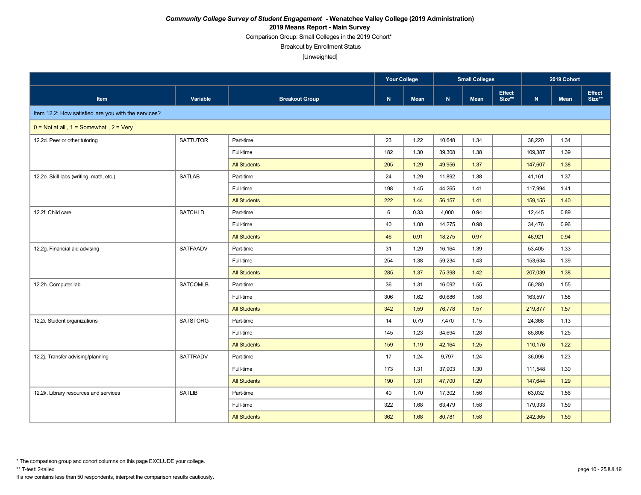Comparison Group: Small Colleges in the 2019 Cohort\*

Breakout by Enrollment Status

|                                                     |                 |                       |     | <b>Your College</b><br><b>Small Colleges</b> |        |             | 2019 Cohort             |             |             |                         |
|-----------------------------------------------------|-----------------|-----------------------|-----|----------------------------------------------|--------|-------------|-------------------------|-------------|-------------|-------------------------|
| Item                                                | Variable        | <b>Breakout Group</b> | N   | <b>Mean</b>                                  | N      | <b>Mean</b> | <b>Effect</b><br>Size** | $\mathbf N$ | <b>Mean</b> | <b>Effect</b><br>Size** |
| Item 12.2: How satisfied are you with the services? |                 |                       |     |                                              |        |             |                         |             |             |                         |
| $0 = Not at all$ , $1 = Somewhat$ , $2 = Very$      |                 |                       |     |                                              |        |             |                         |             |             |                         |
| 12.2d. Peer or other tutoring                       | <b>SATTUTOR</b> | Part-time             | 23  | 1.22                                         | 10.648 | 1.34        |                         | 38,220      | 1.34        |                         |
|                                                     |                 | Full-time             | 182 | 1.30                                         | 39,308 | 1.38        |                         | 109,387     | 1.39        |                         |
|                                                     |                 | <b>All Students</b>   | 205 | 1.29                                         | 49.956 | 1.37        |                         | 147,607     | 1.38        |                         |
| 12.2e. Skill labs (writing, math, etc.)             | <b>SATLAB</b>   | Part-time             | 24  | 1.29                                         | 11,892 | 1.38        |                         | 41,161      | 1.37        |                         |
|                                                     |                 | Full-time             | 198 | 1.45                                         | 44,265 | 1.41        |                         | 117,994     | 1.41        |                         |
|                                                     |                 | <b>All Students</b>   | 222 | 1.44                                         | 56,157 | 1.41        |                         | 159,155     | 1.40        |                         |
| 12.2f. Child care                                   | <b>SATCHLD</b>  | Part-time             | 6   | 0.33                                         | 4,000  | 0.94        |                         | 12,445      | 0.89        |                         |
|                                                     |                 | Full-time             | 40  | 1.00                                         | 14,275 | 0.98        |                         | 34,476      | 0.96        |                         |
|                                                     |                 | <b>All Students</b>   | 46  | 0.91                                         | 18,275 | 0.97        |                         | 46,921      | 0.94        |                         |
| 12.2g. Financial aid advising                       | <b>SATFAADV</b> | Part-time             | 31  | 1.29                                         | 16.164 | 1.39        |                         | 53,405      | 1.33        |                         |
|                                                     |                 | Full-time             | 254 | 1.38                                         | 59,234 | 1.43        |                         | 153,634     | 1.39        |                         |
|                                                     |                 | <b>All Students</b>   | 285 | 1.37                                         | 75,398 | 1.42        |                         | 207,039     | 1.38        |                         |
| 12.2h. Computer lab                                 | <b>SATCOMLB</b> | Part-time             | 36  | 1.31                                         | 16,092 | 1.55        |                         | 56,280      | 1.55        |                         |
|                                                     |                 | Full-time             | 306 | 1.62                                         | 60,686 | 1.58        |                         | 163,597     | 1.58        |                         |
|                                                     |                 | <b>All Students</b>   | 342 | 1.59                                         | 76,778 | 1.57        |                         | 219,877     | 1.57        |                         |
| 12.2i. Student organizations                        | <b>SATSTORG</b> | Part-time             | 14  | 0.79                                         | 7,470  | 1.15        |                         | 24,368      | 1.13        |                         |
|                                                     |                 | Full-time             | 145 | 1.23                                         | 34,694 | 1.28        |                         | 85,808      | 1.25        |                         |
|                                                     |                 | <b>All Students</b>   | 159 | 1.19                                         | 42,164 | 1.25        |                         | 110,176     | 1.22        |                         |
| 12.2j. Transfer advising/planning                   | <b>SATTRADV</b> | Part-time             | 17  | 1.24                                         | 9,797  | 1.24        |                         | 36,096      | 1.23        |                         |
|                                                     |                 | Full-time             | 173 | 1.31                                         | 37,903 | 1.30        |                         | 111,548     | 1.30        |                         |
|                                                     |                 | <b>All Students</b>   | 190 | 1.31                                         | 47,700 | 1.29        |                         | 147,644     | 1.29        |                         |
| 12.2k. Library resources and services               | <b>SATLIB</b>   | Part-time             | 40  | 1.70                                         | 17,302 | 1.56        |                         | 63,032      | 1.56        |                         |
|                                                     |                 | Full-time             | 322 | 1.68                                         | 63,479 | 1.58        |                         | 179,333     | 1.59        |                         |
|                                                     |                 | <b>All Students</b>   | 362 | 1.68                                         | 80,781 | 1.58        |                         | 242,365     | 1.59        |                         |

<sup>\*</sup> The comparison group and cohort columns on this page EXCLUDE your college.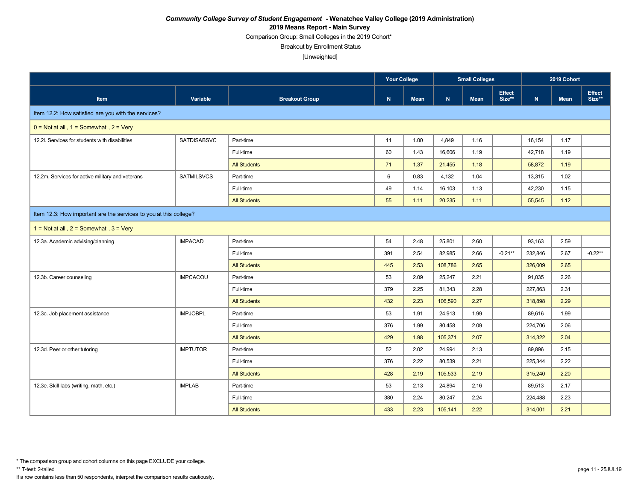Comparison Group: Small Colleges in the 2019 Cohort\*

Breakout by Enrollment Status

|                                                                   |                    |                       | Your College<br><b>Small Colleges</b> |             |         | 2019 Cohort |                         |         |             |                  |
|-------------------------------------------------------------------|--------------------|-----------------------|---------------------------------------|-------------|---------|-------------|-------------------------|---------|-------------|------------------|
| <b>Item</b>                                                       | Variable           | <b>Breakout Group</b> | $\mathbf N$                           | <b>Mean</b> | N       | <b>Mean</b> | <b>Effect</b><br>Size** | N       | <b>Mean</b> | Effect<br>Size** |
| Item 12.2: How satisfied are you with the services?               |                    |                       |                                       |             |         |             |                         |         |             |                  |
| $0 = Not at all$ , $1 = Somewhat$ , $2 = Very$                    |                    |                       |                                       |             |         |             |                         |         |             |                  |
| 12.2l. Services for students with disabilities                    | <b>SATDISABSVC</b> | Part-time             | 11                                    | 1.00        | 4,849   | 1.16        |                         | 16,154  | 1.17        |                  |
|                                                                   |                    | Full-time             | 60                                    | 1.43        | 16,606  | 1.19        |                         | 42,718  | 1.19        |                  |
|                                                                   |                    | <b>All Students</b>   | 71                                    | 1.37        | 21,455  | 1.18        |                         | 58,872  | 1.19        |                  |
| 12.2m. Services for active military and veterans                  | <b>SATMILSVCS</b>  | Part-time             | 6                                     | 0.83        | 4,132   | 1.04        |                         | 13,315  | 1.02        |                  |
|                                                                   |                    | Full-time             | 49                                    | 1.14        | 16,103  | 1.13        |                         | 42,230  | 1.15        |                  |
|                                                                   |                    | <b>All Students</b>   | 55                                    | 1.11        | 20,235  | 1.11        |                         | 55,545  | 1.12        |                  |
| Item 12.3: How important are the services to you at this college? |                    |                       |                                       |             |         |             |                         |         |             |                  |
| 1 = Not at all, $2 =$ Somewhat, $3 =$ Very                        |                    |                       |                                       |             |         |             |                         |         |             |                  |
| 12.3a. Academic advising/planning                                 | <b>IMPACAD</b>     | Part-time             | 54                                    | 2.48        | 25,801  | 2.60        |                         | 93,163  | 2.59        |                  |
|                                                                   |                    | Full-time             | 391                                   | 2.54        | 82,985  | 2.66        | $-0.21**$               | 232,846 | 2.67        | $-0.22**$        |
|                                                                   |                    | <b>All Students</b>   | 445                                   | 2.53        | 108,786 | 2.65        |                         | 326,009 | 2.65        |                  |
| 12.3b. Career counseling                                          | <b>IMPCACOU</b>    | Part-time             | 53                                    | 2.09        | 25,247  | 2.21        |                         | 91,035  | 2.26        |                  |
|                                                                   |                    | Full-time             | 379                                   | 2.25        | 81,343  | 2.28        |                         | 227,863 | 2.31        |                  |
|                                                                   |                    | <b>All Students</b>   | 432                                   | 2.23        | 106,590 | 2.27        |                         | 318,898 | 2.29        |                  |
| 12.3c. Job placement assistance                                   | <b>IMPJOBPL</b>    | Part-time             | 53                                    | 1.91        | 24,913  | 1.99        |                         | 89,616  | 1.99        |                  |
|                                                                   |                    | Full-time             | 376                                   | 1.99        | 80,458  | 2.09        |                         | 224,706 | 2.06        |                  |
|                                                                   |                    | <b>All Students</b>   | 429                                   | 1.98        | 105,371 | 2.07        |                         | 314,322 | 2.04        |                  |
| 12.3d. Peer or other tutoring                                     | <b>IMPTUTOR</b>    | Part-time             | 52                                    | 2.02        | 24,994  | 2.13        |                         | 89,896  | 2.15        |                  |
|                                                                   |                    | Full-time             | 376                                   | 2.22        | 80,539  | 2.21        |                         | 225,344 | 2.22        |                  |
|                                                                   |                    | <b>All Students</b>   | 428                                   | 2.19        | 105,533 | 2.19        |                         | 315,240 | 2.20        |                  |
| 12.3e. Skill labs (writing, math, etc.)                           | <b>IMPLAB</b>      | Part-time             | 53                                    | 2.13        | 24,894  | 2.16        |                         | 89,513  | 2.17        |                  |
|                                                                   |                    | Full-time             | 380                                   | 2.24        | 80,247  | 2.24        |                         | 224,488 | 2.23        |                  |
|                                                                   |                    | <b>All Students</b>   | 433                                   | 2.23        | 105,141 | 2.22        |                         | 314,001 | 2.21        |                  |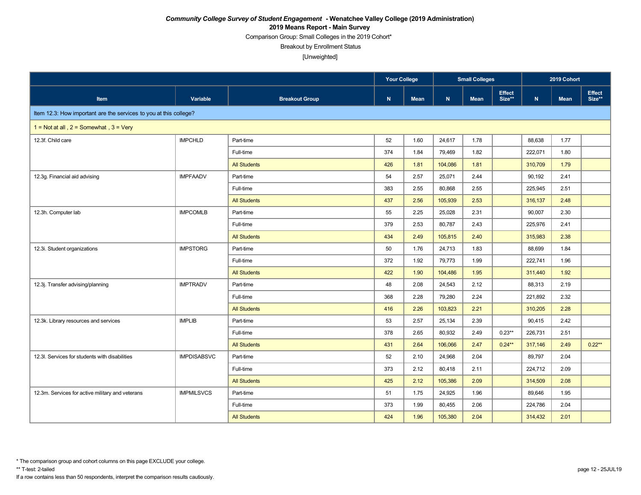Comparison Group: Small Colleges in the 2019 Cohort\*

Breakout by Enrollment Status

[Unweighted]

|                                                                   |                    |                       | Your College<br><b>Small Colleges</b> |             |         | 2019 Cohort |                         |             |             |                         |
|-------------------------------------------------------------------|--------------------|-----------------------|---------------------------------------|-------------|---------|-------------|-------------------------|-------------|-------------|-------------------------|
| Item                                                              | Variable           | <b>Breakout Group</b> | N                                     | <b>Mean</b> | N       | <b>Mean</b> | <b>Effect</b><br>Size** | $\mathbf N$ | <b>Mean</b> | <b>Effect</b><br>Size** |
| Item 12.3: How important are the services to you at this college? |                    |                       |                                       |             |         |             |                         |             |             |                         |
| 1 = Not at all, $2 =$ Somewhat, $3 =$ Very                        |                    |                       |                                       |             |         |             |                         |             |             |                         |
| 12.3f. Child care                                                 | <b>IMPCHLD</b>     | Part-time             | 52                                    | 1.60        | 24,617  | 1.78        |                         | 88,638      | 1.77        |                         |
|                                                                   |                    | Full-time             | 374                                   | 1.84        | 79,469  | 1.82        |                         | 222,071     | 1.80        |                         |
|                                                                   |                    | <b>All Students</b>   | 426                                   | 1.81        | 104,086 | 1.81        |                         | 310,709     | 1.79        |                         |
| 12.3g. Financial aid advising                                     | <b>IMPFAADV</b>    | Part-time             | 54                                    | 2.57        | 25,071  | 2.44        |                         | 90,192      | 2.41        |                         |
|                                                                   |                    | Full-time             | 383                                   | 2.55        | 80,868  | 2.55        |                         | 225,945     | 2.51        |                         |
|                                                                   |                    | <b>All Students</b>   | 437                                   | 2.56        | 105,939 | 2.53        |                         | 316,137     | 2.48        |                         |
| 12.3h. Computer lab                                               | <b>IMPCOMLB</b>    | Part-time             | 55                                    | 2.25        | 25,028  | 2.31        |                         | 90,007      | 2.30        |                         |
|                                                                   |                    | Full-time             | 379                                   | 2.53        | 80.787  | 2.43        |                         | 225,976     | 2.41        |                         |
|                                                                   |                    | <b>All Students</b>   | 434                                   | 2.49        | 105,815 | 2.40        |                         | 315,983     | 2.38        |                         |
| 12.3i. Student organizations                                      | <b>IMPSTORG</b>    | Part-time             | 50                                    | 1.76        | 24.713  | 1.83        |                         | 88,699      | 1.84        |                         |
|                                                                   |                    | Full-time             | 372                                   | 1.92        | 79,773  | 1.99        |                         | 222,741     | 1.96        |                         |
|                                                                   |                    | <b>All Students</b>   | 422                                   | 1.90        | 104,486 | 1.95        |                         | 311,440     | 1.92        |                         |
| 12.3j. Transfer advising/planning                                 | <b>IMPTRADV</b>    | Part-time             | 48                                    | 2.08        | 24,543  | 2.12        |                         | 88,313      | 2.19        |                         |
|                                                                   |                    | Full-time             | 368                                   | 2.28        | 79,280  | 2.24        |                         | 221,892     | 2.32        |                         |
|                                                                   |                    | <b>All Students</b>   | 416                                   | 2.26        | 103,823 | 2.21        |                         | 310,205     | 2.28        |                         |
| 12.3k. Library resources and services                             | <b>IMPLIB</b>      | Part-time             | 53                                    | 2.57        | 25,134  | 2.39        |                         | 90,415      | 2.42        |                         |
|                                                                   |                    | Full-time             | 378                                   | 2.65        | 80,932  | 2.49        | $0.23**$                | 226,731     | 2.51        |                         |
|                                                                   |                    | <b>All Students</b>   | 431                                   | 2.64        | 106,066 | 2.47        | $0.24**$                | 317,146     | 2.49        | $0.22**$                |
| 12.3I. Services for students with disabilities                    | <b>IMPDISABSVC</b> | Part-time             | 52                                    | 2.10        | 24.968  | 2.04        |                         | 89,797      | 2.04        |                         |
|                                                                   |                    | Full-time             | 373                                   | 2.12        | 80,418  | 2.11        |                         | 224,712     | 2.09        |                         |
|                                                                   |                    | <b>All Students</b>   | 425                                   | 2.12        | 105,386 | 2.09        |                         | 314,509     | 2.08        |                         |
| 12.3m. Services for active military and veterans                  | <b>IMPMILSVCS</b>  | Part-time             | 51                                    | 1.75        | 24,925  | 1.96        |                         | 89,646      | 1.95        |                         |
|                                                                   |                    | Full-time             | 373                                   | 1.99        | 80,455  | 2.06        |                         | 224,786     | 2.04        |                         |
|                                                                   |                    | <b>All Students</b>   | 424                                   | 1.96        | 105,380 | 2.04        |                         | 314,432     | 2.01        |                         |

\* The comparison group and cohort columns on this page EXCLUDE your college.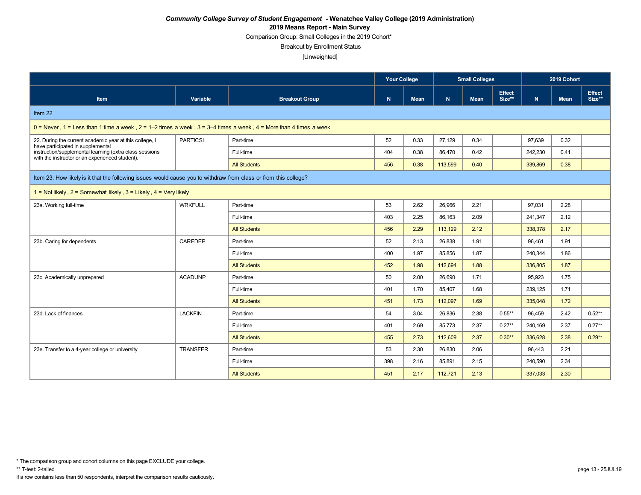Comparison Group: Small Colleges in the 2019 Cohort\*

Breakout by Enrollment Status

|                                                                                                                    |                 |                       | <b>Your College</b> |      | <b>Small Colleges</b> |             |                  | 2019 Cohort |             |                         |
|--------------------------------------------------------------------------------------------------------------------|-----------------|-----------------------|---------------------|------|-----------------------|-------------|------------------|-------------|-------------|-------------------------|
| Item                                                                                                               | Variable        | <b>Breakout Group</b> | N                   | Mean | $\mathbf N$           | <b>Mean</b> | Effect<br>Size** | N           | <b>Mean</b> | <b>Effect</b><br>Size** |
| Item 22                                                                                                            |                 |                       |                     |      |                       |             |                  |             |             |                         |
| $0 =$ Never, 1 = Less than 1 time a week, 2 = 1–2 times a week, 3 = 3–4 times a week, 4 = More than 4 times a week |                 |                       |                     |      |                       |             |                  |             |             |                         |
| 22. During the current academic year at this college, I<br>have participated in supplemental                       | <b>PARTICSI</b> | Part-time             | 52                  | 0.33 | 27,129                | 0.34        |                  | 97,639      | 0.32        |                         |
| instruction/supplemental learning (extra class sessions<br>with the instructor or an experienced student).         |                 | Full-time             | 404                 | 0.38 | 86,470                | 0.42        |                  | 242,230     | 0.41        |                         |
|                                                                                                                    |                 | <b>All Students</b>   | 456                 | 0.38 | 113,599               | 0.40        |                  | 339,869     | 0.38        |                         |
| Item 23: How likely is it that the following issues would cause you to withdraw from class or from this college?   |                 |                       |                     |      |                       |             |                  |             |             |                         |
| 1 = Not likely, $2$ = Somewhat likely, $3$ = Likely, $4$ = Very likely                                             |                 |                       |                     |      |                       |             |                  |             |             |                         |
| 23a. Working full-time                                                                                             | <b>WRKFULL</b>  | Part-time             | 53                  | 2.62 | 26.966                | 2.21        |                  | 97,031      | 2.28        |                         |
|                                                                                                                    |                 | Full-time             | 403                 | 2.25 | 86,163                | 2.09        |                  | 241,347     | 2.12        |                         |
|                                                                                                                    |                 | <b>All Students</b>   | 456                 | 2.29 | 113,129               | 2.12        |                  | 338,378     | 2.17        |                         |
| 23b. Caring for dependents                                                                                         | CAREDEP         | Part-time             | 52                  | 2.13 | 26,838                | 1.91        |                  | 96,461      | 1.91        |                         |
|                                                                                                                    |                 | Full-time             | 400                 | 1.97 | 85.856                | 1.87        |                  | 240,344     | 1.86        |                         |
|                                                                                                                    |                 | <b>All Students</b>   | 452                 | 1.98 | 112,694               | 1.88        |                  | 336,805     | 1.87        |                         |
| 23c. Academically unprepared                                                                                       | <b>ACADUNP</b>  | Part-time             | 50                  | 2.00 | 26,690                | 1.71        |                  | 95,923      | 1.75        |                         |
|                                                                                                                    |                 | Full-time             | 401                 | 1.70 | 85.407                | 1.68        |                  | 239,125     | 1.71        |                         |
|                                                                                                                    |                 | <b>All Students</b>   | 451                 | 1.73 | 112,097               | 1.69        |                  | 335,048     | 1.72        |                         |
| 23d. Lack of finances                                                                                              | <b>LACKFIN</b>  | Part-time             | 54                  | 3.04 | 26.836                | 2.38        | $0.55***$        | 96,459      | 2.42        | $0.52**$                |
|                                                                                                                    |                 | Full-time             | 401                 | 2.69 | 85.773                | 2.37        | $0.27**$         | 240,169     | 2.37        | $0.27**$                |
|                                                                                                                    |                 | <b>All Students</b>   | 455                 | 2.73 | 112,609               | 2.37        | $0.30**$         | 336,628     | 2.38        | $0.29**$                |
| 23e. Transfer to a 4-year college or university                                                                    | <b>TRANSFER</b> | Part-time             | 53                  | 2.30 | 26,830                | 2.06        |                  | 96,443      | 2.21        |                         |
|                                                                                                                    |                 | Full-time             | 398                 | 2.16 | 85,891                | 2.15        |                  | 240,590     | 2.34        |                         |
|                                                                                                                    |                 | <b>All Students</b>   | 451                 | 2.17 | 112,721               | 2.13        |                  | 337,033     | 2.30        |                         |

<sup>\*</sup> The comparison group and cohort columns on this page EXCLUDE your college.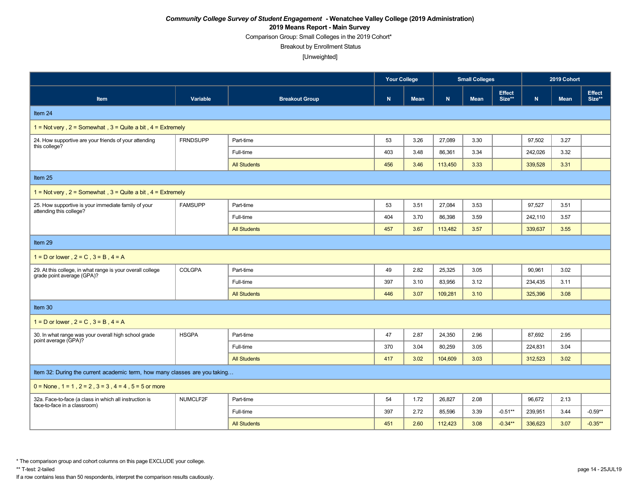Comparison Group: Small Colleges in the 2019 Cohort\*

Breakout by Enrollment Status

[Unweighted]

|                                                                                          |                 |                       | <b>Your College</b> |             | <b>Small Colleges</b> |             |                         | 2019 Cohort |             |                         |
|------------------------------------------------------------------------------------------|-----------------|-----------------------|---------------------|-------------|-----------------------|-------------|-------------------------|-------------|-------------|-------------------------|
| Item                                                                                     | Variable        | <b>Breakout Group</b> | ${\bf N}$           | <b>Mean</b> | N                     | <b>Mean</b> | <b>Effect</b><br>Size** | ${\bf N}$   | <b>Mean</b> | <b>Effect</b><br>Size** |
| Item 24                                                                                  |                 |                       |                     |             |                       |             |                         |             |             |                         |
| 1 = Not very, $2 =$ Somewhat, $3 =$ Quite a bit, $4 =$ Extremely                         |                 |                       |                     |             |                       |             |                         |             |             |                         |
| 24. How supportive are your friends of your attending<br>this college?                   | <b>FRNDSUPP</b> | Part-time             | 53                  | 3.26        | 27,089                | 3.30        |                         | 97,502      | 3.27        |                         |
|                                                                                          |                 | Full-time             | 403                 | 3.48        | 86,361                | 3.34        |                         | 242,026     | 3.32        |                         |
|                                                                                          |                 | <b>All Students</b>   | 456                 | 3.46        | 113,450               | 3.33        |                         | 339,528     | 3.31        |                         |
| Item 25                                                                                  |                 |                       |                     |             |                       |             |                         |             |             |                         |
| 1 = Not very, $2 =$ Somewhat, $3 =$ Quite a bit, $4 =$ Extremely                         |                 |                       |                     |             |                       |             |                         |             |             |                         |
| 25. How supportive is your immediate family of your                                      | <b>FAMSUPP</b>  | Part-time             | 53                  | 3.51        | 27,084                | 3.53        |                         | 97,527      | 3.51        |                         |
| attending this college?                                                                  |                 | Full-time             | 404                 | 3.70        | 86,398                | 3.59        |                         | 242,110     | 3.57        |                         |
|                                                                                          |                 | <b>All Students</b>   | 457                 | 3.67        | 113,482               | 3.57        |                         | 339,637     | 3.55        |                         |
| Item 29                                                                                  |                 |                       |                     |             |                       |             |                         |             |             |                         |
| $1 = D$ or lower, $2 = C$ , $3 = B$ , $4 = A$                                            |                 |                       |                     |             |                       |             |                         |             |             |                         |
| 29. At this college, in what range is your overall college<br>grade point average (GPA)? | <b>COLGPA</b>   | Part-time             | 49                  | 2.82        | 25,325                | 3.05        |                         | 90,961      | 3.02        |                         |
|                                                                                          |                 | Full-time             | 397                 | 3.10        | 83,956                | 3.12        |                         | 234,435     | 3.11        |                         |
|                                                                                          |                 | <b>All Students</b>   | 446                 | 3.07        | 109,281               | 3.10        |                         | 325,396     | 3.08        |                         |
| Item 30                                                                                  |                 |                       |                     |             |                       |             |                         |             |             |                         |
| $1 = D$ or lower, $2 = C$ , $3 = B$ , $4 = A$                                            |                 |                       |                     |             |                       |             |                         |             |             |                         |
| 30. In what range was your overall high school grade<br>point average (GPA)?             | <b>HSGPA</b>    | Part-time             | 47                  | 2.87        | 24,350                | 2.96        |                         | 87,692      | 2.95        |                         |
|                                                                                          |                 | Full-time             | 370                 | 3.04        | 80,259                | 3.05        |                         | 224,831     | 3.04        |                         |
|                                                                                          |                 | <b>All Students</b>   | 417                 | 3.02        | 104,609               | 3.03        |                         | 312,523     | 3.02        |                         |
| Item 32: During the current academic term, how many classes are you taking               |                 |                       |                     |             |                       |             |                         |             |             |                         |
| $0 =$ None, $1 = 1$ , $2 = 2$ , $3 = 3$ , $4 = 4$ , $5 = 5$ or more                      |                 |                       |                     |             |                       |             |                         |             |             |                         |
| 32a. Face-to-face (a class in which all instruction is<br>face-to-face in a classroom)   | NUMCLF2F        | Part-time             | 54                  | 1.72        | 26,827                | 2.08        |                         | 96,672      | 2.13        |                         |
|                                                                                          |                 | Full-time             | 397                 | 2.72        | 85.596                | 3.39        | $-0.51**$               | 239.951     | 3.44        | $-0.59**$               |
|                                                                                          |                 | <b>All Students</b>   | 451                 | 2.60        | 112,423               | 3.08        | $-0.34**$               | 336,623     | 3.07        | $-0.35**$               |

\* The comparison group and cohort columns on this page EXCLUDE your college.